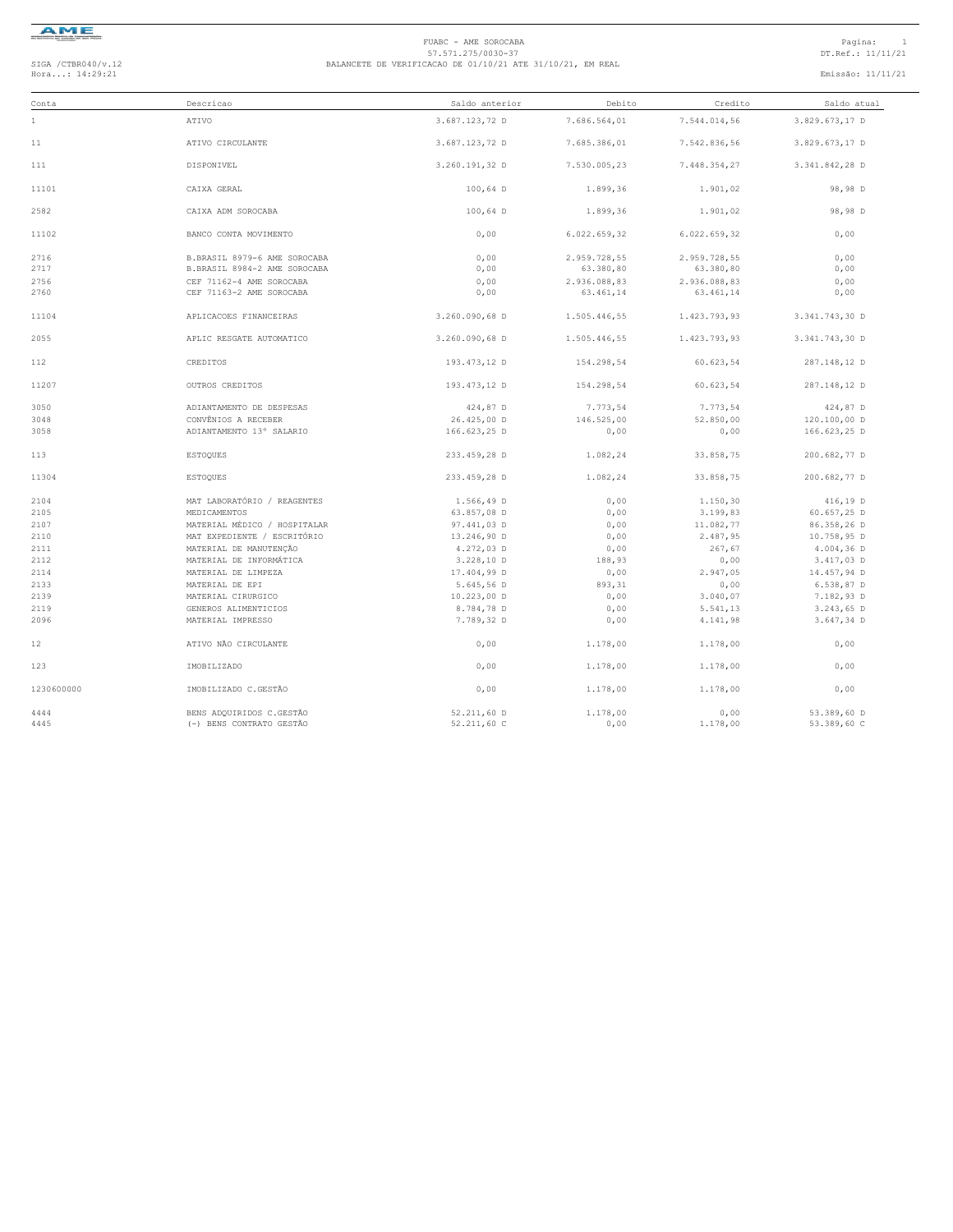

### FUABC - AME SOROCABA<br>
57.571.275/0030-37<br>
BALANCETE DE VERIFICACAO DE 01/10/21 ATE 31/10/21, EM REAL<br>
Hora...: 14:29:21 Emissão: 11/11/21<br>
Emissão: 11/11/21

| Conta      | Descricao                    | Saldo anterior | Debito       | Credito      | Saldo atual    |
|------------|------------------------------|----------------|--------------|--------------|----------------|
| $1\,$      | ATIVO                        | 3.687.123,72 D | 7.686.564,01 | 7.544.014,56 | 3.829.673,17 D |
| 11         | ATIVO CIRCULANTE             | 3.687.123,72 D | 7.685.386,01 | 7.542.836,56 | 3.829.673,17 D |
| 111        | DISPONIVEL                   | 3.260.191.32 D | 7.530.005.23 | 7.448.354,27 | 3.341.842,28 D |
| 11101      | CAIXA GERAL                  | $100.64$ D     | 1.899,36     | 1.901,02     | 98,98 D        |
| 2582       | CAIXA ADM SOROCABA           | 100,64 D       | 1.899,36     | 1.901,02     | 98,98 D        |
| 11102      | BANCO CONTA MOVIMENTO        | 0,00           | 6.022.659,32 | 6.022.659,32 | 0,00           |
| 2716       | B.BRASIL 8979-6 AME SOROCABA | 0,00           | 2.959.728,55 | 2.959.728,55 | 0,00           |
| 2717       | B.BRASIL 8984-2 AME SOROCABA | 0,00           | 63.380,80    | 63.380,80    | 0,00           |
| 2756       | CEF 71162-4 AME SOROCABA     | 0,00           | 2.936.088,83 | 2.936.088,83 | 0,00           |
| 2760       | CEF 71163-2 AME SOROCABA     | 0,00           | 63.461,14    | 63.461,14    | 0,00           |
| 11104      | APLICACOES FINANCEIRAS       | 3.260.090,68 D | 1.505.446,55 | 1.423.793,93 | 3.341.743,30 D |
| 2055       | APLIC RESGATE AUTOMATICO     | 3.260.090,68 D | 1.505.446.55 | 1.423.793.93 | 3.341.743.30 D |
| 112        | CREDITOS                     | 193.473,12 D   | 154.298,54   | 60.623,54    | 287.148,12 D   |
| 11207      | OUTROS CREDITOS              | 193.473,12 D   | 154.298.54   | 60.623.54    | 287.148,12 D   |
| 3050       | ADIANTAMENTO DE DESPESAS     | 424,87 D       | 7.773,54     | 7.773,54     | 424,87 D       |
| 3048       | CONVÊNIOS A RECEBER          | 26.425,00 D    | 146.525,00   | 52.850,00    | 120.100,00 D   |
| 3058       | ADIANTAMENTO 13° SALARIO     | 166.623,25 D   | 0,00         | 0,00         | 166.623,25 D   |
| 113        | ESTOQUES                     | 233.459,28 D   | 1.082,24     | 33.858,75    | 200.682,77 D   |
| 11304      | <b>ESTOQUES</b>              | 233.459,28 D   | 1.082,24     | 33.858,75    | 200.682,77 D   |
| 2104       | MAT LABORATÓRIO / REAGENTES  | 1.566,49 D     | 0,00         | 1.150,30     | 416,19 D       |
| 2105       | MEDICAMENTOS                 | 63.857,08 D    | 0,00         | 3.199,83     | 60.657,25 D    |
| 2107       | MATERIAL MÉDICO / HOSPITALAR | 97.441,03 D    | 0,00         | 11.082,77    | 86.358,26 D    |
| 2110       | MAT EXPEDIENTE / ESCRITÓRIO  | 13.246,90 D    | 0,00         | 2.487,95     | 10.758,95 D    |
| 2111       | MATERIAL DE MANUTENÇÃO       | 4.272,03 D     | 0,00         | 267,67       | $4.004, 36$ D  |
| 2112       | MATERIAL DE INFORMÁTICA      | 3.228,10 D     | 188,93       | 0,00         | 3.417,03 D     |
| 2114       | MATERIAL DE LIMPEZA          | 17.404,99 D    | 0,00         | 2.947,05     | 14.457,94 D    |
| 2133       | MATERIAL DE EPI              | 5.645,56 D     | 893,31       | 0,00         | $6.538, 87$ D  |
| 2139       | MATERIAL CIRURGICO           | $10.223,00$ D  | 0,00         | 3.040,07     | 7.182,93 D     |
| 2119       | GENEROS ALIMENTICIOS         | 8.784,78 D     | 0,00         | 5.541,13     | 3.243,65 D     |
| 2096       | MATERIAL IMPRESSO            | 7.789,32 D     | 0,00         | 4.141,98     | 3.647,34 D     |
| 12         | ATIVO NÃO CIRCULANTE         | 0,00           | 1.178,00     | 1.178,00     | 0,00           |
| 123        | IMOBILIZADO                  | 0,00           | 1.178,00     | 1.178,00     | 0,00           |
| 1230600000 | IMOBILIZADO C.GESTÃO         | 0.00           | 1,178,00     | 1.178,00     | 0.00           |
| 4444       | BENS ADOUIRIDOS C.GESTÃO     | 52.211,60 D    | 1.178,00     | 0.00         | 53.389,60 D    |
| 4445       | (-) BENS CONTRATO GESTÃO     | 52.211,60 C    | 0,00         | 1.178,00     | 53.389,60 C    |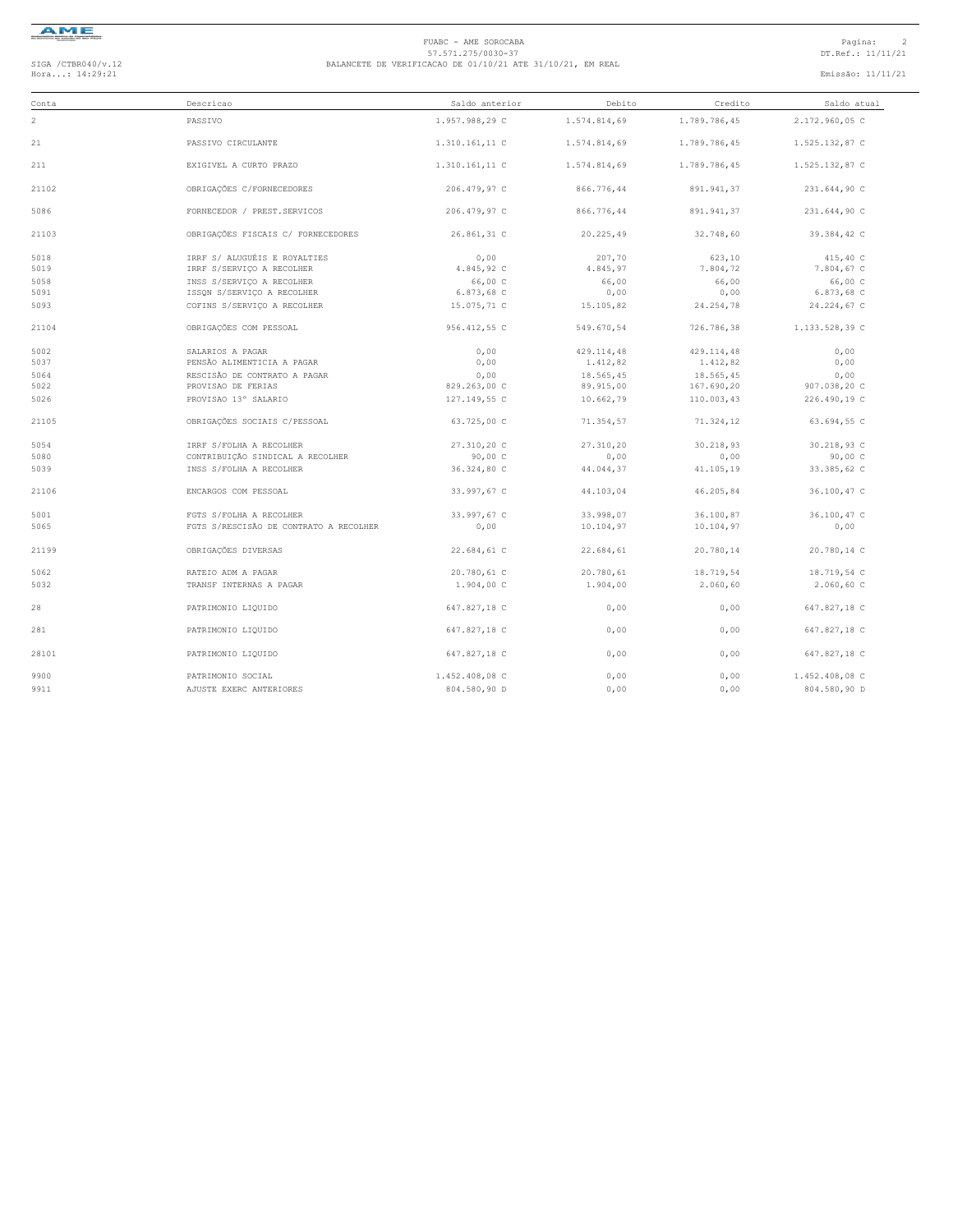

# FUABC - AME SOROCABA<br>
57.571.275/0030-37<br>
BALANCETE DE VERIFICACAO DE 01/10/21 ATE 31/10/21, EM REAL<br>
Hora...: 14:29:21 Emissão: 11/11/21<br>
Emissão: 11/11/21

| Conta | Descricao                              | Saldo anterior | Debito       | Credito      | Saldo atual    |
|-------|----------------------------------------|----------------|--------------|--------------|----------------|
| 2     | PASSIVO                                | 1.957.988,29 C | 1.574.814.69 | 1.789.786,45 | 2.172.960,05 C |
| 21    | PASSIVO CIRCULANTE                     | 1.310.161,11 C | 1.574.814,69 | 1.789.786,45 | 1.525.132,87 C |
| 211   | EXIGIVEL A CURTO PRAZO                 | 1.310.161,11 C | 1.574.814,69 | 1.789.786,45 | 1.525.132,87 C |
| 21102 | OBRIGAÇÕES C/FORNECEDORES              | 206.479,97 C   | 866.776,44   | 891.941,37   | 231.644,90 C   |
| 5086  | FORNECEDOR / PREST.SERVICOS            | 206.479,97 C   | 866.776,44   | 891.941,37   | 231.644,90 C   |
| 21103 | OBRIGAÇÕES FISCAIS C/ FORNECEDORES     | 26.861,31 C    | 20.225,49    | 32.748,60    | 39.384,42 C    |
| 5018  | IRRF S/ ALUGUÉIS E ROYALTIES           | 0.00           | 207,70       | 623,10       | 415,40 C       |
| 5019  | IRRF S/SERVICO A RECOLHER              | 4.845,92 C     | 4.845,97     | 7.804,72     | 7.804,67 C     |
| 5058  | INSS S/SERVIÇO A RECOLHER              | 66,00 C        | 66,00        | 66,00        | 66,00 C        |
| 5091  | ISSON S/SERVICO A RECOLHER             | 6.873,68 C     | 0,00         | 0,00         | 6.873,68 C     |
| 5093  | COFINS S/SERVICO A RECOLHER            | 15.075,71 C    | 15.105,82    | 24.254,78    | 24.224,67 C    |
| 21104 | OBRIGAÇÕES COM PESSOAL                 | 956.412,55 C   | 549.670,54   | 726.786,38   | 1.133.528,39 C |
| 5002  | SALARIOS A PAGAR                       | 0,00           | 429.114,48   | 429.114,48   | 0,00           |
| 5037  | PENSÃO ALIMENTICIA A PAGAR             | 0,00           | 1.412,82     | 1.412,82     | 0,00           |
| 5064  | RESCISÃO DE CONTRATO A PAGAR           | 0,00           | 18.565,45    | 18.565,45    | 0,00           |
| 5022  | PROVISAO DE FERIAS                     | 829.263,00 C   | 89.915,00    | 167.690,20   | 907.038,20 C   |
| 5026  | PROVISAO 13° SALARIO                   | 127.149.55 C   | 10.662,79    | 110.003.43   | 226.490,19 C   |
| 21105 | OBRIGAÇÕES SOCIAIS C/PESSOAL           | 63.725,00 C    | 71.354,57    | 71.324,12    | 63.694,55 C    |
| 5054  | IRRF S/FOLHA A RECOLHER                | 27.310,20 C    | 27.310,20    | 30.218,93    | 30.218,93 C    |
| 5080  | CONTRIBUIÇÃO SINDICAL A RECOLHER       | 90,00C         | 0,00         | 0,00         | 90,00C         |
| 5039  | INSS S/FOLHA A RECOLHER                | 36.324,80 C    | 44.044,37    | 41.105,19    | 33.385,62 C    |
| 21106 | ENCARGOS COM PESSOAL                   | 33.997,67 C    | 44.103,04    | 46.205,84    | 36.100,47 C    |
| 5001  | FGTS S/FOLHA A RECOLHER                | 33.997,67 C    | 33.998.07    | 36.100,87    | 36.100,47 C    |
| 5065  | FGTS S/RESCISÃO DE CONTRATO A RECOLHER | 0,00           | 10.104,97    | 10.104,97    | 0,00           |
| 21199 | OBRIGAÇÕES DIVERSAS                    | 22.684,61 C    | 22.684,61    | 20.780,14    | 20.780,14 C    |
| 5062  | RATEIO ADM A PAGAR                     | 20.780,61 C    | 20.780,61    | 18.719,54    | 18.719,54 C    |
| 5032  | TRANSF INTERNAS A PAGAR                | 1.904,00 C     | 1,904,00     | 2.060,60     | $2.060, 60$ C  |
| 28    | PATRIMONIO LIQUIDO                     | 647.827,18 C   | 0,00         | 0,00         | 647.827,18 C   |
| 281   | PATRIMONIO LIQUIDO                     | 647.827,18 C   | 0,00         | 0,00         | 647.827,18 C   |
| 28101 | PATRIMONIO LIQUIDO                     | 647.827.18 C   | 0.00         | 0,00         | 647.827.18 C   |
| 9900  | PATRIMONIO SOCIAL                      | 1.452.408,08 C | 0,00         | 0,00         | 1.452.408,08 C |
| 9911  | AJUSTE EXERC ANTERIORES                | 804.580,90 D   | 0.00         | 0.00         | 804.580,90 D   |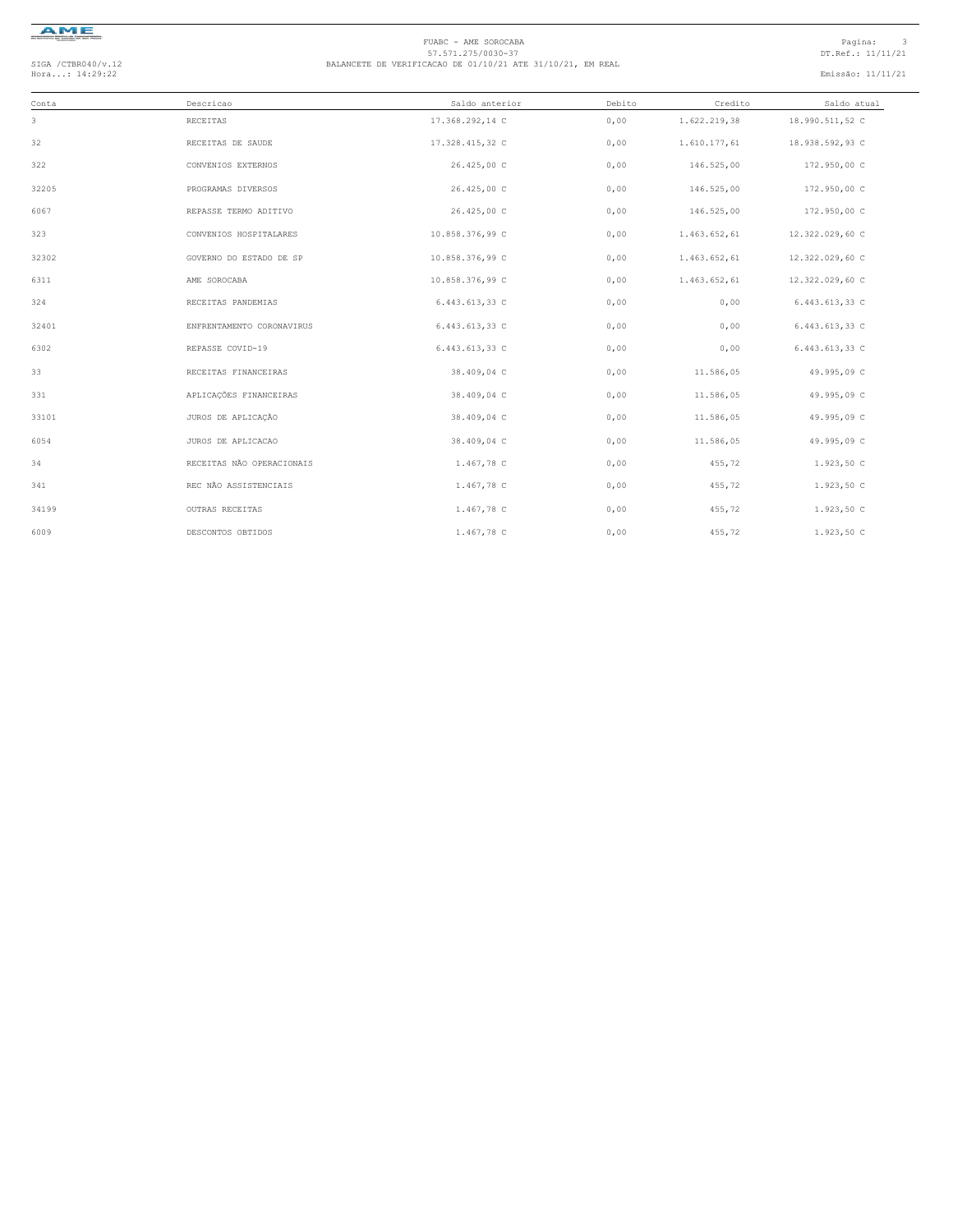

# FUABC - AME SOROCABA<br>
57.571.275/0030-37<br>
BALANCETE DE VERIFICACAO DE 01/10/21 ATE 31/10/21, EM REAL<br>
Hora...: 14:29:22 Emissão: 11/11/21<br>
Emissão: 11/11/21

| Conta | Descricao                 | Saldo anterior  | Debito | Credito      | Saldo atual     |
|-------|---------------------------|-----------------|--------|--------------|-----------------|
| 3     | RECEITAS                  | 17.368.292,14 C | 0,00   | 1.622.219,38 | 18.990.511,52 C |
| 32    | RECEITAS DE SAUDE         | 17.328.415,32 C | 0,00   | 1.610.177,61 | 18.938.592,93 C |
| 322   | CONVENIOS EXTERNOS        | 26.425,00 C     | 0,00   | 146.525,00   | 172.950,00 C    |
| 32205 | PROGRAMAS DIVERSOS        | 26.425,00 C     | 0,00   | 146.525,00   | 172.950,00 C    |
| 6067  | REPASSE TERMO ADITIVO     | 26.425,00 C     | 0,00   | 146.525,00   | 172.950,00 C    |
| 323   | CONVENIOS HOSPITALARES    | 10.858.376,99 C | 0,00   | 1.463.652,61 | 12.322.029,60 C |
| 32302 | GOVERNO DO ESTADO DE SP   | 10.858.376,99 C | 0,00   | 1.463.652,61 | 12.322.029,60 C |
| 6311  | AME SOROCABA              | 10.858.376,99 C | 0,00   | 1.463.652,61 | 12.322.029,60 C |
| 324   | RECEITAS PANDEMIAS        | 6.443.613,33 C  | 0,00   | 0,00         | 6.443.613,33 C  |
| 32401 | ENFRENTAMENTO CORONAVIRUS | 6.443.613,33 C  | 0,00   | 0,00         | 6.443.613,33 C  |
| 6302  | REPASSE COVID-19          | 6.443.613,33 C  | 0,00   | 0,00         | 6.443.613,33 C  |
| 33    | RECEITAS FINANCEIRAS      | 38.409,04 C     | 0,00   | 11.586,05    | 49.995,09 C     |
| 331   | APLICAÇÕES FINANCEIRAS    | 38.409,04 C     | 0,00   | 11.586,05    | 49.995,09 C     |
| 33101 | JUROS DE APLICAÇÃO        | 38.409,04 C     | 0,00   | 11.586,05    | 49.995,09 C     |
| 6054  | JUROS DE APLICACAO        | 38.409,04 C     | 0,00   | 11.586,05    | 49.995,09 C     |
| 34    | RECEITAS NÃO OPERACIONAIS | 1.467,78 C      | 0,00   | 455,72       | 1.923,50 C      |
| 341   | REC NÃO ASSISTENCIAIS     | 1.467,78 C      | 0,00   | 455,72       | 1.923,50 C      |
| 34199 | OUTRAS RECEITAS           | 1.467,78 C      | 0,00   | 455,72       | 1.923,50 C      |
| 6009  | DESCONTOS OBTIDOS         | 1.467,78 C      | 0,00   | 455,72       | 1.923,50 C      |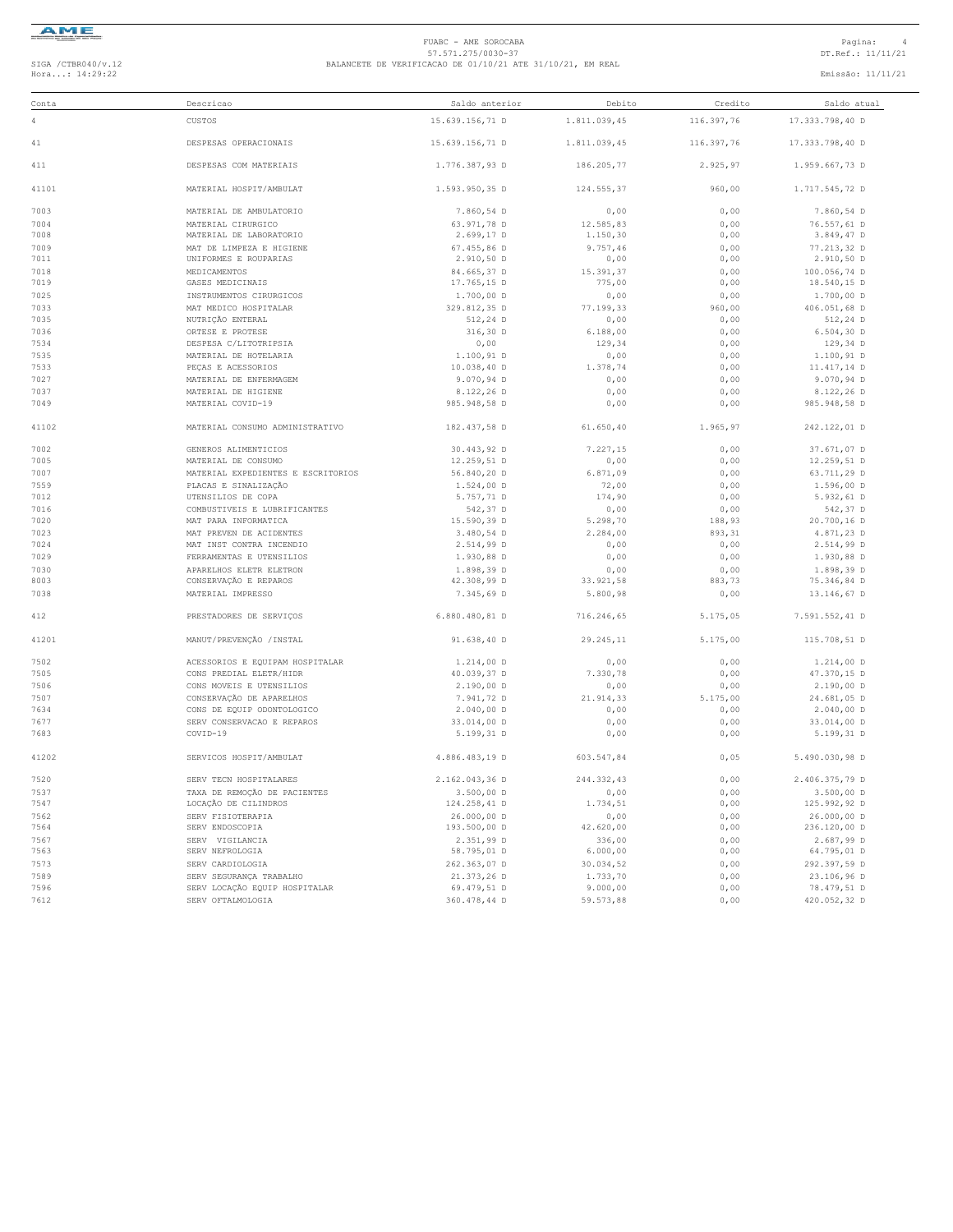

### FUABC - AME SOROCABA<br>
57.571.275/0030-37<br>
BALANCETE DE VERIFICACAO DE 01/10/21 ATE 31/10/21, EM REAL<br>
Hora...: 14:29:22 Emissão: 11/11/21<br>
Emissão: 11/11/21

| Conta | Descricao                          | Saldo anterior  | Debito       | Credito    | Saldo atual     |
|-------|------------------------------------|-----------------|--------------|------------|-----------------|
| 4     | CUSTOS                             | 15.639.156,71 D | 1.811.039,45 | 116.397,76 | 17.333.798,40 D |
| 41    | DESPESAS OPERACIONAIS              | 15.639.156,71 D | 1.811.039,45 | 116.397,76 | 17.333.798,40 D |
| 411   | DESPESAS COM MATERIAIS             | 1.776.387.93 D  | 186.205,77   | 2.925,97   | 1.959.667,73 D  |
| 41101 | MATERIAL HOSPIT/AMBULAT            | 1.593.950,35 D  | 124.555,37   | 960,00     | 1.717.545,72 D  |
| 7003  | MATERIAL DE AMBULATORIO            | 7.860,54 D      | 0,00         | 0,00       | 7.860,54 D      |
| 7004  | MATERIAL CIRURGICO                 | 63.971,78 D     | 12.585,83    | 0,00       | 76.557,61 D     |
| 7008  | MATERIAL DE LABORATORIO            | 2.699,17 D      | 1.150,30     | 0,00       | 3.849,47 D      |
| 7009  | MAT DE LIMPEZA E HIGIENE           | 67.455,86 D     | 9.757,46     | 0,00       | 77.213,32 D     |
| 7011  | UNIFORMES E ROUPARIAS              | 2.910,50 D      | 0,00         | 0,00       | 2.910,50 D      |
| 7018  | MEDICAMENTOS                       | 84.665,37 D     | 15.391,37    | 0,00       | 100.056,74 D    |
| 7019  | GASES MEDICINAIS                   | 17.765,15 D     | 775,00       | 0,00       | 18.540,15 D     |
| 7025  | INSTRUMENTOS CIRURGICOS            | $1.700,00$ D    | 0,00         | 0,00       | $1.700,00$ D    |
| 7033  | MAT MEDICO HOSPITALAR              | 329.812,35 D    | 77.199,33    | 960,00     | 406.051,68 D    |
| 7035  | NUTRIÇÃO ENTERAL                   | 512,24 D        | 0,00         | 0,00       | 512,24 D        |
| 7036  | ORTESE E PROTESE                   | 316,30 D        | 6.188,00     | 0,00       | $6.504, 30$ D   |
| 7534  | DESPESA C/LITOTRIPSIA              | 0,00            | 129,34       | 0,00       | 129,34 D        |
| 7535  | MATERIAL DE HOTELARIA              | 1.100,91 D      | 0,00         | 0,00       | 1.100,91 D      |
| 7533  | PEÇAS E ACESSORIOS                 | 10.038,40 D     | 1.378,74     | 0,00       | 11.417,14 D     |
| 7027  | MATERIAL DE ENFERMAGEM             | 9.070,94 D      | 0,00         | 0,00       | 9.070,94 D      |
| 7037  | MATERIAL DE HIGIENE                | 8.122,26 D      | 0,00         | 0,00       | 8.122,26 D      |
| 7049  | MATERIAL COVID-19                  | 985.948,58 D    | 0,00         | 0,00       | 985.948,58 D    |
| 41102 | MATERIAL CONSUMO ADMINISTRATIVO    | 182.437,58 D    | 61.650,40    | 1.965,97   | 242.122,01 D    |
| 7002  | GENEROS ALIMENTICIOS               | 30.443,92 D     | 7.227,15     | 0,00       | 37.671.07 D     |
| 7005  | MATERIAL DE CONSUMO                | 12.259,51 D     | 0,00         | 0,00       | 12.259,51 D     |
| 7007  | MATERIAL EXPEDIENTES E ESCRITORIOS | 56.840,20 D     | 6.871,09     | 0,00       | 63.711,29 D     |
| 7559  | PLACAS E SINALIZAÇÃO               | 1.524,00 D      | 72,00        | 0,00       | 1.596,00 D      |
| 7012  | UTENSILIOS DE COPA                 | 5.757,71 D      | 174,90       | 0,00       | 5.932,61 D      |
| 7016  | COMBUSTIVEIS E LUBRIFICANTES       | 542,37 D        | 0,00         | 0,00       | 542,37 D        |
| 7020  | MAT PARA INFORMATICA               | 15.590,39 D     | 5.298,70     | 188,93     | 20.700,16 D     |
| 7023  | MAT PREVEN DE ACIDENTES            | 3.480,54 D      | 2.284,00     | 893,31     | 4.871,23 D      |
| 7024  | MAT INST CONTRA INCENDIO           | 2.514,99 D      | 0,00         | 0,00       | 2.514,99 D      |
| 7029  | FERRAMENTAS E UTENSILIOS           | 1.930,88 D      | 0,00         | 0,00       | 1.930,88 D      |
| 7030  | APARELHOS ELETR ELETRON            | 1.898,39 D      | 0,00         | 0,00       | 1.898,39 D      |
| 8003  | CONSERVAÇÃO E REPAROS              | 42.308,99 D     | 33.921,58    | 883,73     | 75.346,84 D     |
| 7038  | MATERIAL IMPRESSO                  | 7.345,69 D      | 5.800,98     | 0,00       | 13.146,67 D     |
| 412   | PRESTADORES DE SERVIÇOS            | 6.880.480,81 D  | 716.246,65   | 5.175,05   | 7.591.552,41 D  |
| 41201 | MANUT/PREVENÇÃO / INSTAL           | 91.638,40 D     | 29.245,11    | 5.175,00   | 115.708,51 D    |
| 7502  | ACESSORIOS E EQUIPAM HOSPITALAR    | 1.214,00 D      | 0,00         | 0,00       | $1.214,00$ D    |
| 7505  | CONS PREDIAL ELETR/HIDR            | 40.039,37 D     | 7.330,78     | 0,00       | 47.370,15 D     |
| 7506  | CONS MOVEIS E UTENSILIOS           | 2.190,00 D      | 0,00         | 0,00       | $2.190,00$ D    |
| 7507  | CONSERVAÇÃO DE APARELHOS           | 7.941,72 D      | 21.914,33    | 5.175,00   | 24.681,05 D     |
| 7634  | CONS DE EQUIP ODONTOLOGICO         | $2.040,00$ D    | 0,00         | 0,00       | $2.040,00$ D    |
| 7677  | SERV CONSERVACAO E REPAROS         | 33.014,00 D     | 0,00         | 0,00       | 33.014,00 D     |
| 7683  | COVID-19                           | 5.199,31 D      | 0,00         | 0,00       | 5.199,31 D      |
| 41202 | SERVICOS HOSPIT/AMBULAT            | 4.886.483,19 D  | 603.547,84   | 0,05       | 5.490.030,98 D  |
| 7520  | SERV TECN HOSPITALARES             | 2.162.043,36 D  | 244.332,43   | 0,00       | 2.406.375,79 D  |
| 7537  | TAXA DE REMOÇÃO DE PACIENTES       | $3.500,00$ D    | 0,00         | 0,00       | $3.500,00$ D    |
| 7547  | LOCAÇÃO DE CILINDROS               | 124.258,41 D    | 1.734,51     | 0,00       | 125.992,92 D    |
| 7562  | SERV FISIOTERAPIA                  | 26.000,00 D     | 0,00         | 0,00       | 26.000,00 D     |
| 7564  | SERV ENDOSCOPIA                    | 193.500,00 D    | 42.620,00    | 0,00       | 236.120,00 D    |
| 7567  | SERV VIGILANCIA                    | 2.351,99 D      | 336,00       | 0,00       | 2.687,99 D      |
| 7563  | SERV NEFROLOGIA                    | 58.795,01 D     | 6.000,00     | 0,00       | 64.795,01 D     |
| 7573  | SERV CARDIOLOGIA                   | 262.363,07 D    | 30.034,52    | 0,00       | 292.397,59 D    |
| 7589  | SERV SEGURANÇA TRABALHO            | 21.373,26 D     | 1.733,70     | 0,00       | 23.106,96 D     |
| 7596  | SERV LOCAÇÃO EQUIP HOSPITALAR      | 69.479,51 D     | 9.000,00     | 0,00       | 78.479,51 D     |
| 7612  | SERV OFTALMOLOGIA                  | 360.478,44 D    | 59.573,88    | 0,00       | 420.052,32 D    |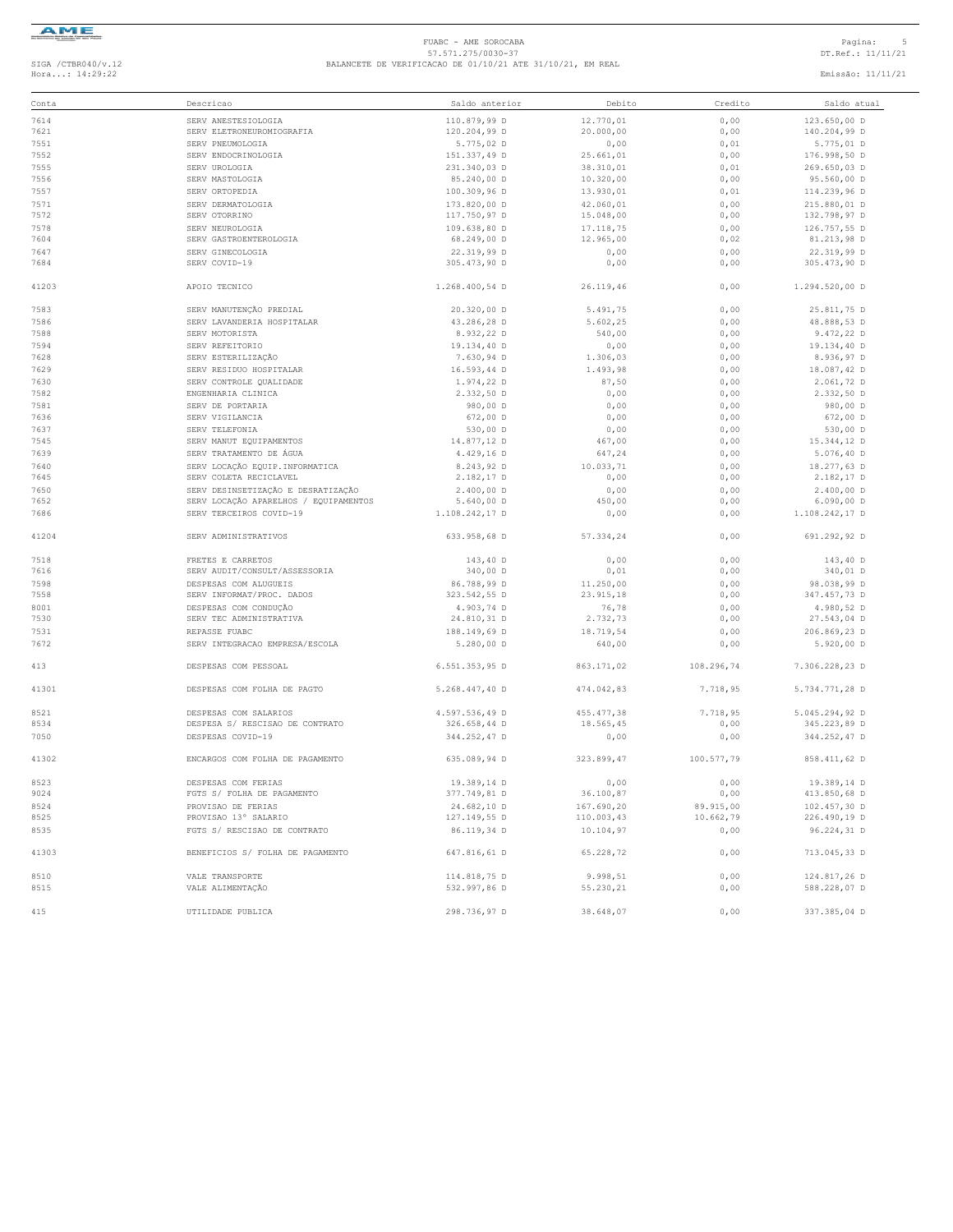

#### FUABC - AME SOROCABA<br>
57.571.275/0030-37<br>
BALANCETE DE VERIFICACAO DE 01/10/21 ATE 31/10/21, EM REAL<br>
Hora...: 14:29:22 Emissão: 11/11/21<br>
Emissão: 11/11/21

| Conta        | Descricao                             | Saldo anterior               | Debito                | Credito      | Saldo atual                  |
|--------------|---------------------------------------|------------------------------|-----------------------|--------------|------------------------------|
| 7614         | SERV ANESTESIOLOGIA                   | 110.879,99 D                 | 12.770,01             | 0,00         | 123.650,00 D                 |
| 7621         | SERV ELETRONEUROMIOGRAFIA             | 120.204,99 D                 | 20.000,00             | 0,00         | 140.204,99 D                 |
| 7551         | SERV PNEUMOLOGIA                      | 5.775,02 D                   | 0,00                  | 0,01         | 5.775,01 D                   |
| 7552         | SERV ENDOCRINOLOGIA                   | 151.337,49 D                 | 25.661,01             | 0,00         | 176.998,50 D                 |
| 7555         | SERV UROLOGIA                         | 231.340,03 D                 | 38.310.01             | 0,01         | 269.650,03 D                 |
| 7556         | SERV MASTOLOGIA                       | 85.240,00 D                  | 10.320,00             | 0,00         | 95.560,00 D                  |
| 7557         | SERV ORTOPEDIA                        | 100.309,96 D                 | 13.930,01             | 0,01         | 114.239,96 D                 |
| 7571         | SERV DERMATOLOGIA                     | 173.820,00 D                 | 42.060,01             | 0,00         | 215.880,01 D                 |
| 7572         | SERV OTORRINO                         | 117.750,97 D                 | 15.048,00             | 0,00         | 132.798,97 D                 |
| 7578         | SERV NEUROLOGIA                       | 109.638,80 D                 | 17.118,75             | 0,00         | 126.757,55 D                 |
| 7604         | SERV GASTROENTEROLOGIA                | 68.249,00 D                  | 12.965,00             | 0,02         | 81.213,98 D                  |
| 7647         | SERV GINECOLOGIA                      | 22.319,99 D                  | 0,00                  | 0,00         | 22.319,99 D                  |
| 7684         | SERV COVID-19                         | 305.473,90 D                 | 0,00                  | 0,00         | 305.473,90 D                 |
| 41203        | APOIO TECNICO                         | 1.268.400,54 D               | 26.119,46             | 0,00         | 1.294.520,00 D               |
| 7583         | SERV MANUTENÇÃO PREDIAL               | 20.320,00 D                  | 5.491,75              | 0,00         | 25.811,75 D                  |
| 7586         | SERV LAVANDERIA HOSPITALAR            | 43.286,28 D                  | 5.602,25              | 0,00         | 48.888,53 D                  |
| 7588         | SERV MOTORISTA                        | 8.932,22 D                   | 540,00                | 0,00         | 9.472, 22 D                  |
| 7594         | SERV REFEITORIO                       | 19.134,40 D                  | 0,00                  | 0,00         | 19.134,40 D                  |
| 7628         | SERV ESTERILIZAÇÃO                    | 7.630,94 D                   | 1.306,03              | 0,00         | 8.936,97 D                   |
| 7629         | SERV RESIDUO HOSPITALAR               | 16.593,44 D                  | 1.493,98              | 0,00         | 18.087,42 D                  |
| 7630         | SERV CONTROLE QUALIDADE               | 1.974,22 D                   | 87,50                 | 0,00         | 2.061,72 D                   |
| 7582         | ENGENHARIA CLINICA                    | 2.332,50 D                   | 0,00                  | 0,00         | 2.332,50 D                   |
| 7581         | SERV DE PORTARIA                      | 980,00 D                     | 0,00                  | 0,00         | 980,00 D                     |
| 7636         | SERV VIGILANCIA                       | 672,00 D                     | 0,00                  | 0,00         | 672,00 D                     |
| 7637         | SERV TELEFONIA                        | 530,00 D                     | 0,00                  | 0,00         | 530,00 D                     |
| 7545         | SERV MANUT EQUIPAMENTOS               | 14.877,12 D                  | 467,00                | 0,00         | 15.344,12 D                  |
| 7639         | SERV TRATAMENTO DE ÁGUA               | 4.429,16 D                   | 647,24                | 0,00         | 5.076,40 D                   |
| 7640         | SERV LOCAÇÃO EQUIP. INFORMATICA       | 8.243,92 D                   | 10.033,71             | 0,00         | 18.277,63 D                  |
| 7645         | SERV COLETA RECICLAVEL                | 2.182,17 D                   | 0,00                  | 0,00         | 2.182,17 D                   |
| 7650         | SERV DESINSETIZAÇÃO E DESRATIZAÇÃO    | 2.400,00 D                   | 0,00                  | 0,00         | 2.400,00 D                   |
| 7652         | SERV LOCAÇÃO APARELHOS / EQUIPAMENTOS | 5.640,00 D                   | 450,00                | 0,00         | $6.090,00$ D                 |
| 7686         | SERV TERCEIROS COVID-19               | 1.108.242,17 D               | 0,00                  | 0,00         | 1.108.242,17 D               |
| 41204        | SERV ADMINISTRATIVOS                  | 633.958,68 D                 | 57.334,24             | 0,00         | 691.292,92 D                 |
| 7518         | FRETES E CARRETOS                     | 143,40 D                     | 0,00                  | 0,00         | 143,40 D                     |
| 7616         | SERV AUDIT/CONSULT/ASSESSORIA         | 340,00 D                     | 0,01                  | 0,00         | 340,01 D                     |
| 7598         | DESPESAS COM ALUGUEIS                 | 86.788,99 D                  | 11.250,00             | 0,00         | 98.038,99 D                  |
| 7558         | SERV INFORMAT/PROC. DADOS             | 323.542,55 D                 | 23.915,18             | 0,00         | 347.457,73 D                 |
| 8001         | DESPESAS COM CONDUÇÃO                 | 4.903,74 D                   | 76,78                 | 0,00         | 4.980,52 D                   |
| 7530         | SERV TEC ADMINISTRATIVA               | 24.810,31 D                  | 2.732,73              | 0,00         | 27.543,04 D                  |
| 7531         | REPASSE FUABC                         | 188.149,69 D                 | 18.719,54             | 0,00         | 206.869,23 D                 |
| 7672         | SERV INTEGRACAO EMPRESA/ESCOLA        | $5.280,00$ D                 | 640,00                | 0,00         | $5.920,00$ D                 |
| 413          | DESPESAS COM PESSOAL                  | 6.551.353,95 D               | 863.171,02            | 108.296,74   | 7.306.228,23 D               |
| 41301        | DESPESAS COM FOLHA DE PAGTO           | 5.268.447,40 D               | 474.042,83            | 7.718,95     | 5.734.771,28 D               |
| 8521         | DESPESAS COM SALARIOS                 | 4.597.536,49 D               | 455.477,38            | 7.718,95     | 5.045.294,92 D               |
| 8534         | DESPESA S/ RESCISAO DE CONTRATO       | 326.658,44 D                 | 18.565,45             | 0,00         | 345.223,89 D                 |
| 7050         | DESPESAS COVID-19                     | 344.252,47 D                 | 0,00                  | 0,00         | 344.252,47 D                 |
| 41302        | ENCARGOS COM FOLHA DE PAGAMENTO       | 635.089,94 D                 | 323.899,47            | 100.577,79   | 858.411,62 D                 |
| 8523         | DESPESAS COM FERIAS                   | 19.389,14 D                  | 0,00                  | 0,00         | 19.389,14 D                  |
| 9024         | FGTS S/ FOLHA DE PAGAMENTO            | 377.749,81 D                 | 36.100,87             | 0,00         | 413.850,68 D                 |
| 8524         | PROVISAO DE FERIAS                    | 24.682,10 D                  | 167.690,20            | 89.915,00    | 102.457,30 D                 |
| 8525         | PROVISAO 13° SALARIO                  | 127.149,55 D                 | 110.003,43            | 10.662,79    | 226.490,19 D                 |
| 8535         | FGTS S/ RESCISAO DE CONTRATO          | 86.119,34 D                  | 10.104,97             | 0,00         | 96.224,31 D                  |
| 41303        | BENEFICIOS S/ FOLHA DE PAGAMENTO      | 647.816,61 D                 | 65.228,72             | 0,00         | 713.045,33 D                 |
| 8510<br>8515 | VALE TRANSPORTE<br>VALE ALIMENTAÇÃO   | 114.818,75 D<br>532.997,86 D | 9.998,51<br>55.230,21 | 0,00<br>0,00 | 124.817,26 D<br>588.228,07 D |
| 415          | UTILIDADE PUBLICA                     | 298.736,97 D                 | 38.648,07             | 0,00         | 337.385,04 D                 |